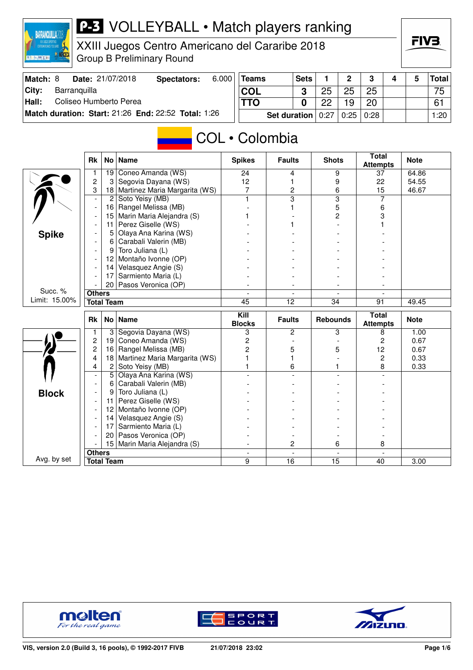

XXIII Juegos Centro Americano del Cararibe 2018 Group B Preliminary Round

| Match: 8 |              | Date: 21/07/2018       | Spectators:                                         | 6.000 | Teams |                       | <b>Sets</b> |    | ົ                | ີ  |  | Total│ |
|----------|--------------|------------------------|-----------------------------------------------------|-------|-------|-----------------------|-------------|----|------------------|----|--|--------|
| City:    | Barranguilla |                        |                                                     |       | COL   |                       |             | 25 | 25               | 25 |  | 75     |
| Hall:    |              | Coliseo Humberto Perea |                                                     |       |       |                       |             | ററ | 19               | 20 |  | 61     |
|          |              |                        | Match duration: Start: 21:26 End: 22:52 Total: 1:26 |       |       | Set duration $ 0:27 $ |             |    | $0:25 \mid 0:28$ |    |  | 1:20   |

# COL • Colombia

|               | <b>Rk</b>                | No                | <b>Name</b>                   | <b>Spikes</b>                       | <b>Faults</b>            | <b>Shots</b>                   | <b>Total</b><br><b>Attempts</b> | <b>Note</b> |
|---------------|--------------------------|-------------------|-------------------------------|-------------------------------------|--------------------------|--------------------------------|---------------------------------|-------------|
|               |                          | 19                | Coneo Amanda (WS)             | 24                                  | 4                        | 9                              | 37                              | 64.86       |
|               | $\overline{c}$           | 3                 | Segovia Dayana (WS)           | 12                                  | 1                        | 9                              | 22                              | 54.55       |
|               | 3                        | 18                | Martinez Maria Margarita (WS) | 7                                   | $\overline{c}$           | 6                              | 15                              | 46.67       |
|               | $\overline{\phantom{a}}$ | $\overline{c}$    | Soto Yeisy (MB)               |                                     | $\overline{\mathbf{3}}$  | $\overline{\mathbf{3}}$        | 7                               |             |
|               | $\overline{a}$           | 16                | Rangel Melissa (MB)           |                                     |                          | 5                              | 6                               |             |
|               |                          | 15                | Marin Maria Alejandra (S)     |                                     |                          | $\overline{c}$                 | 3                               |             |
|               |                          | 11                | Perez Giselle (WS)            |                                     |                          |                                |                                 |             |
| <b>Spike</b>  |                          | 5                 | Olaya Ana Karina (WS)         |                                     |                          |                                |                                 |             |
|               |                          | 6                 | Carabali Valerin (MB)         |                                     |                          |                                |                                 |             |
|               |                          | 9                 | Toro Juliana (L)              |                                     |                          |                                |                                 |             |
|               |                          | 12                | Montaño Ivonne (OP)           |                                     |                          |                                |                                 |             |
|               |                          | 14                | Velasquez Angie (S)           |                                     |                          |                                |                                 |             |
|               |                          | 17                | Sarmiento Maria (L)           |                                     |                          |                                |                                 |             |
|               |                          |                   | 20   Pasos Veronica (OP)      |                                     | $\overline{\phantom{a}}$ |                                |                                 |             |
| Succ. %       | <b>Others</b>            |                   |                               | $\blacksquare$                      | $\overline{\phantom{a}}$ | $\overline{\phantom{a}}$       |                                 |             |
| Limit: 15.00% |                          | <b>Total Team</b> |                               | 45                                  | 12                       | $\overline{34}$                | 91                              | 49.45       |
|               |                          |                   |                               |                                     |                          |                                |                                 |             |
|               | <b>Rk</b>                |                   | No   Name                     | $\overline{K}$ ill<br><b>Blocks</b> | <b>Faults</b>            | <b>Rebounds</b>                | <b>Total</b><br><b>Attempts</b> | <b>Note</b> |
|               | $\mathbf{1}$             | 3                 | Segovia Dayana (WS)           | 3                                   | 2                        | 3                              | 8                               | 1.00        |
|               | $\overline{c}$           | 19                | Coneo Amanda (WS)             | 2                                   |                          |                                | $\overline{2}$                  | 0.67        |
|               | $\overline{2}$           | 16                | Rangel Melissa (MB)           | 2                                   | 5                        | 5                              | 12                              | 0.67        |
|               | 4                        | 18                | Martinez Maria Margarita (WS) |                                     | 1                        |                                | $\overline{c}$                  | 0.33        |
|               | 4                        | $\overline{c}$    | Soto Yeisy (MB)               |                                     | 6                        |                                | 8                               | 0.33        |
|               | $\overline{\phantom{a}}$ | 5                 | Olaya Ana Karina (WS)         |                                     |                          |                                |                                 |             |
|               |                          | 6                 | Carabali Valerin (MB)         |                                     |                          |                                |                                 |             |
|               |                          | 9                 | Toro Juliana (L)              |                                     |                          |                                |                                 |             |
| <b>Block</b>  |                          | 11                | Perez Giselle (WS)            |                                     |                          |                                |                                 |             |
|               |                          | 12                | Montaño Ivonne (OP)           |                                     |                          |                                |                                 |             |
|               |                          | 14                | Velasquez Angie (S)           |                                     |                          |                                |                                 |             |
|               |                          | 17                | Sarmiento Maria (L)           |                                     |                          |                                |                                 |             |
|               |                          | 20                | Pasos Veronica (OP)           |                                     |                          |                                |                                 |             |
|               |                          | 15                | Marin Maria Alejandra (S)     |                                     | 2                        | 6                              | 8                               |             |
| Avg. by set   | <b>Others</b>            | <b>Total Team</b> |                               | $\blacksquare$                      | $\blacksquare$<br>16     | $\overline{\phantom{a}}$<br>15 |                                 | 3.00        |





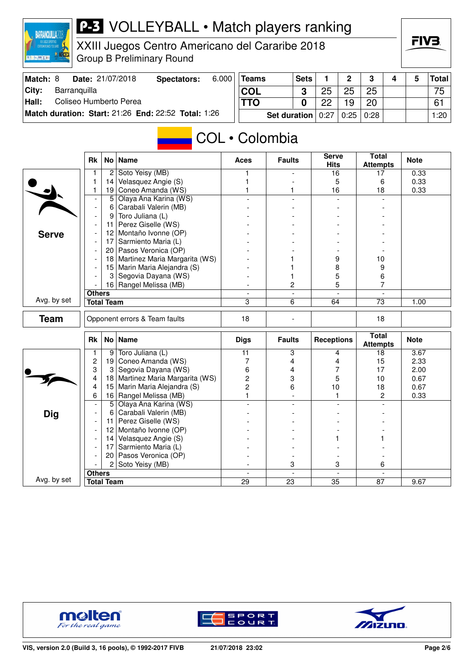

XXIII Juegos Centro Americano del Cararibe 2018 Group B Preliminary Round

| Match: 8 |              | <b>Date: 21/07/2018</b> | Spectators:                                         | 6.000 | <b>Teams</b> |                       | <b>Sets</b> |    |                  | <b>C</b> |  | <b>Total</b>    |
|----------|--------------|-------------------------|-----------------------------------------------------|-------|--------------|-----------------------|-------------|----|------------------|----------|--|-----------------|
| City:    | Barranguilla |                         |                                                     |       | <b>COL</b>   |                       |             | ∩⊏ |                  | 25       |  | 75 <sub>1</sub> |
| Hall:    |              | Coliseo Humberto Perea  |                                                     |       | <b>TTO</b>   |                       |             | ററ |                  | 20       |  | 61              |
|          |              |                         | Match duration: Start: 21:26 End: 22:52 Total: 1:26 |       |              | Set duration $ 0:27 $ |             |    | $0:25 \mid 0:28$ |          |  | ا 20: ا         |

# COL • Colombia

|              | <b>Rk</b>                |                   | No   Name                     | <b>Aces</b>              | <b>Faults</b>            | <b>Serve</b><br><b>Hits</b> | <b>Total</b><br><b>Attempts</b> | <b>Note</b> |
|--------------|--------------------------|-------------------|-------------------------------|--------------------------|--------------------------|-----------------------------|---------------------------------|-------------|
|              | 1                        | $\overline{c}$    | Soto Yeisy (MB)               | 1                        | $\overline{a}$           | 16                          | 17                              | 0.33        |
|              | 1                        | 14                | Velasquez Angie (S)           |                          |                          | 5                           | 6                               | 0.33        |
|              | 1                        | 19                | Coneo Amanda (WS)             |                          | 1.                       | 16                          | 18                              | 0.33        |
|              | $\overline{\phantom{a}}$ | 5                 | Olaya Ana Karina (WS)         |                          | $\overline{a}$           |                             |                                 |             |
|              | $\blacksquare$           | 6                 | Carabali Valerin (MB)         |                          |                          |                             |                                 |             |
|              | $\overline{\phantom{a}}$ | 9                 | Toro Juliana (L)              |                          |                          |                             |                                 |             |
|              |                          | 11                | Perez Giselle (WS)            |                          |                          |                             |                                 |             |
| <b>Serve</b> |                          | 12 <sub>2</sub>   | Montaño Ivonne (OP)           |                          |                          |                             |                                 |             |
|              |                          | 17                | Sarmiento Maria (L)           |                          |                          |                             |                                 |             |
|              | $\overline{\phantom{a}}$ | 20                | Pasos Veronica (OP)           |                          |                          |                             |                                 |             |
|              |                          | 18                | Martinez Maria Margarita (WS) |                          |                          | 9                           | 10                              |             |
|              | $\blacksquare$           | 15                | Marin Maria Alejandra (S)     |                          |                          | 8                           | 9                               |             |
|              |                          | 3                 | Segovia Dayana (WS)           |                          | 1                        | 5                           | 6                               |             |
|              |                          |                   | 16 Rangel Melissa (MB)        |                          | 2                        | 5                           | 7                               |             |
|              | <b>Others</b>            |                   |                               | $\overline{\phantom{a}}$ | $\overline{\phantom{a}}$ |                             |                                 |             |
| Avg. by set  |                          | <b>Total Team</b> |                               | 3                        | 6                        | 64                          | $\overline{73}$                 | 1.00        |
| <b>Team</b>  |                          |                   | Opponent errors & Team faults | 18                       |                          |                             | 18                              |             |
|              |                          |                   |                               |                          |                          |                             |                                 |             |
|              | <b>Rk</b>                |                   | No Name                       | <b>Digs</b>              | <b>Faults</b>            | <b>Receptions</b>           | <b>Total</b><br><b>Attempts</b> | <b>Note</b> |
|              | 1                        | 9                 | Toro Juliana (L)              | 11                       | 3                        | 4                           | 18                              | 3.67        |
|              | 2                        | 19                | Coneo Amanda (WS)             | 7                        | 4                        | 4                           | 15                              | 2.33        |
|              | 3                        | 3                 | Segovia Dayana (WS)           | 6                        | 4                        | 7                           | 17                              | 2.00        |
|              | 4                        | 18                | Martinez Maria Margarita (WS) | $\overline{c}$           | 3                        | 5                           | 10                              | 0.67        |
|              | 4                        | 15                | Marin Maria Alejandra (S)     | $\overline{2}$           | 6                        | 10                          | 18                              | 0.67        |
|              | 6                        | 16                | Rangel Melissa (MB)           | $\mathbf{1}$             |                          | 1                           | 2                               | 0.33        |
|              | $\overline{a}$           | 5 <sup>2</sup>    | Olaya Ana Karina (WS)         |                          |                          |                             |                                 |             |
| <b>Dig</b>   |                          | 6                 | Carabali Valerin (MB)         |                          |                          |                             |                                 |             |
|              |                          | 11                | Perez Giselle (WS)            |                          |                          |                             |                                 |             |
|              |                          | 12 <sup>2</sup>   | Montaño Ivonne (OP)           |                          |                          |                             |                                 |             |
|              |                          | 14                | Velasquez Angie (S)           |                          |                          |                             |                                 |             |
|              | $\blacksquare$           | 17                | Sarmiento Maria (L)           |                          |                          |                             |                                 |             |
|              |                          | 20                | Pasos Veronica (OP)           |                          |                          |                             |                                 |             |
|              |                          | 2                 | Soto Yeisy (MB)               |                          | 3                        | 3                           | 6                               |             |
| Avg. by set  | <b>Others</b>            | <b>Total Team</b> |                               | 29                       | 23                       | 35                          | 87                              | 9.67        |





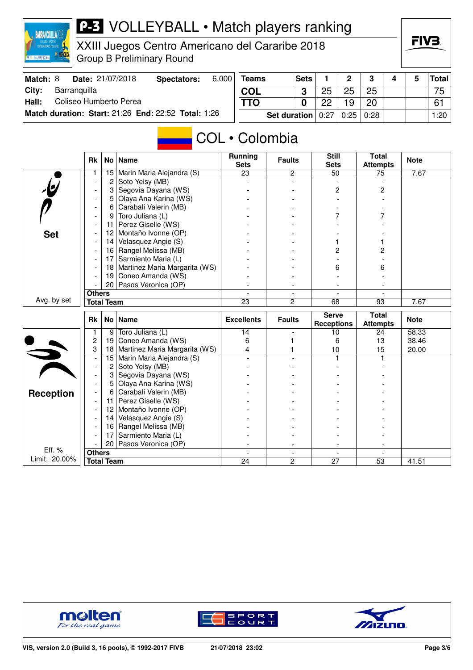

XXIII Juegos Centro Americano del Cararibe 2018 Group B Preliminary Round

| Match: 8 |              | Date: 21/07/2018       | Spectators:                                                | 6.000 | <b>Teams</b> | <b>Sets</b>           |    |    | ີ                |  | <b>Total</b>    |
|----------|--------------|------------------------|------------------------------------------------------------|-------|--------------|-----------------------|----|----|------------------|--|-----------------|
| City:    | Barranguilla |                        |                                                            |       | COL          |                       | 25 | 25 | 25               |  | 75 <sub>1</sub> |
| Hall:    |              | Coliseo Humberto Perea |                                                            |       | TTO          |                       | ററ |    | 20               |  | 61              |
|          |              |                        | <b>Match duration: Start: 21:26 End: 22:52 Total: 1:26</b> |       |              | Set duration $ 0:27 $ |    |    | $0:25 \mid 0:28$ |  | ا 20: ا         |

# COL • Colombia

|                          | Rk                       | No l                    | <b>Name</b>                   | <b>Running</b><br><b>Sets</b> | <b>Faults</b>                    | <b>Still</b><br><b>Sets</b>       | <b>Total</b><br><b>Attempts</b> | <b>Note</b> |
|--------------------------|--------------------------|-------------------------|-------------------------------|-------------------------------|----------------------------------|-----------------------------------|---------------------------------|-------------|
|                          | 1                        | 15                      | Marin Maria Alejandra (S)     | 23                            | 2                                | 50                                | 75                              | 7.67        |
| $\overline{\mathcal{L}}$ |                          | $\overline{\mathbf{c}}$ | Soto Yeisy (MB)               |                               |                                  |                                   |                                 |             |
|                          |                          | 3                       | Segovia Dayana (WS)           |                               |                                  | $\overline{c}$                    | 2                               |             |
|                          |                          | 5                       | Olaya Ana Karina (WS)         |                               |                                  |                                   |                                 |             |
|                          |                          | 6                       | Carabali Valerin (MB)         |                               |                                  |                                   |                                 |             |
|                          | $\overline{\phantom{a}}$ | 9                       | Toro Juliana (L)              |                               |                                  | 7                                 |                                 |             |
|                          |                          | 11                      | Perez Giselle (WS)            |                               |                                  |                                   |                                 |             |
| <b>Set</b>               |                          | $12 \overline{ }$       | Montaño Ivonne (OP)           |                               |                                  |                                   |                                 |             |
|                          |                          | 14                      | Velasquez Angie (S)           |                               |                                  |                                   |                                 |             |
|                          |                          | 16                      | Rangel Melissa (MB)           |                               |                                  | 2                                 | 2                               |             |
|                          |                          | 17                      | Sarmiento Maria (L)           |                               |                                  |                                   |                                 |             |
|                          |                          | 18                      | Martinez Maria Margarita (WS) |                               |                                  | 6                                 | 6                               |             |
|                          |                          | 19                      | Coneo Amanda (WS)             |                               |                                  |                                   |                                 |             |
|                          |                          |                         | 20 Pasos Veronica (OP)        |                               | $\overline{\phantom{a}}$         |                                   |                                 |             |
|                          | <b>Others</b>            |                         |                               | $\blacksquare$                | $\overline{\phantom{a}}$         | $\overline{\phantom{a}}$          | $\blacksquare$                  |             |
| Avg. by set              |                          | <b>Total Team</b>       |                               | $\overline{23}$               | $\overline{c}$                   | 68                                | 93                              | 7.67        |
|                          |                          |                         |                               |                               |                                  |                                   |                                 |             |
|                          | <b>Rk</b>                |                         | No   Name                     | <b>Excellents</b>             | <b>Faults</b>                    | <b>Serve</b><br><b>Receptions</b> | <b>Total</b><br><b>Attempts</b> | <b>Note</b> |
|                          | 1                        | 9                       | Toro Juliana (L)              | 14                            |                                  | 10                                | 24                              | 58.33       |
|                          | 2                        | 19                      | Coneo Amanda (WS)             | 6                             |                                  | 6                                 | 13                              | 38.46       |
|                          | 3                        | 18                      | Martinez Maria Margarita (WS) | 4                             |                                  | 10                                | 15                              | 20.00       |
|                          | $\overline{\phantom{a}}$ | 15                      | Marin Maria Alejandra (S)     |                               |                                  | 1                                 | 1                               |             |
|                          | $\blacksquare$           | 2                       | Soto Yeisy (MB)               |                               |                                  |                                   |                                 |             |
|                          |                          | 3                       | Segovia Dayana (WS)           |                               |                                  |                                   |                                 |             |
|                          |                          | 5                       | Olaya Ana Karina (WS)         |                               |                                  |                                   |                                 |             |
|                          | $\overline{\phantom{a}}$ | 6                       | Carabali Valerin (MB)         |                               |                                  |                                   |                                 |             |
| <b>Reception</b>         |                          | 11                      | Perez Giselle (WS)            |                               |                                  |                                   |                                 |             |
|                          | $\overline{\phantom{a}}$ | 12                      | Montaño Ivonne (OP)           |                               |                                  |                                   |                                 |             |
|                          |                          | 14                      | Velasquez Angie (S)           |                               |                                  |                                   |                                 |             |
|                          |                          | 16                      | Rangel Melissa (MB)           |                               |                                  |                                   |                                 |             |
|                          |                          | 17                      | Sarmiento Maria (L)           |                               |                                  |                                   |                                 |             |
|                          |                          | 20                      | Pasos Veronica (OP)           |                               |                                  |                                   |                                 |             |
| Eff. %<br>Limit: 20.00%  | <b>Others</b>            | <b>Total Team</b>       |                               | $\blacksquare$<br>24          | $\blacksquare$<br>$\overline{c}$ | $\blacksquare$<br>27              | $\blacksquare$<br>53            | 41.51       |





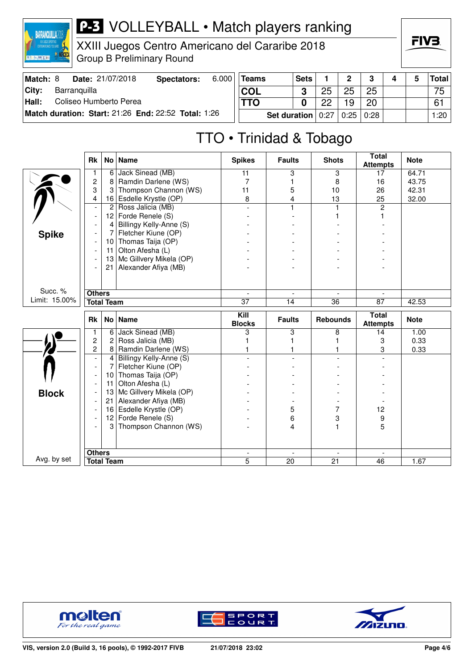

XXIII Juegos Centro Americano del Cararibe 2018 Group B Preliminary Round

| Match: 8 |              | Date: 21/07/2018       | Spectators:                                         | 6.000 | <b>Teams</b> |                       | <b>Sets</b> |    | C.               | $\bullet$ |  | Total      |
|----------|--------------|------------------------|-----------------------------------------------------|-------|--------------|-----------------------|-------------|----|------------------|-----------|--|------------|
| ⊺Citv:   | Barranguilla |                        |                                                     |       | <b>COL</b>   |                       |             | つに | 25               | 25        |  | 75         |
| Hall:    |              | Coliseo Humberto Perea |                                                     |       | <b>TTO</b>   |                       |             | ററ | 19               | 20        |  | 61         |
|          |              |                        | Match duration: Start: 21:26 End: 22:52 Total: 1:26 |       |              | Set duration $ 0:27 $ |             |    | $0:25 \mid 0:28$ |           |  | $1:20$ $ $ |

# TTO • Trinidad & Tobago

|               | <b>Rk</b>                |                   | No   Name               | <b>Spikes</b>            | <b>Faults</b>            | <b>Shots</b>             | <b>Total</b><br><b>Attempts</b> | <b>Note</b> |
|---------------|--------------------------|-------------------|-------------------------|--------------------------|--------------------------|--------------------------|---------------------------------|-------------|
|               | 1                        | 6                 | Jack Sinead (MB)        | 11                       | 3                        | 3                        | 17                              | 64.71       |
|               | $\overline{c}$           | 8                 | Ramdin Darlene (WS)     | 7                        | 1                        | 8                        | 16                              | 43.75       |
|               | 3                        | 3                 | Thompson Channon (WS)   | 11                       | 5                        | 10                       | 26                              | 42.31       |
|               | 4                        | 16                | Esdelle Krystle (OP)    | 8                        | 4                        | 13                       | 25                              | 32.00       |
|               | $\overline{\phantom{a}}$ | $\overline{c}$    | Ross Jalicia (MB)       |                          | 1                        |                          | $\overline{2}$                  |             |
|               |                          | 12                | Forde Renele (S)        |                          |                          |                          |                                 |             |
|               |                          | 4                 | Billingy Kelly-Anne (S) |                          |                          |                          |                                 |             |
| <b>Spike</b>  |                          | 7                 | Fletcher Kiune (OP)     |                          |                          |                          |                                 |             |
|               |                          | 10                | Thomas Taija (OP)       |                          |                          |                          |                                 |             |
|               |                          | 11                | Olton Afesha (L)        |                          |                          |                          |                                 |             |
|               |                          | 13                | Mc Gillvery Mikela (OP) |                          |                          |                          |                                 |             |
|               |                          | 21                | Alexander Afiya (MB)    |                          |                          |                          |                                 |             |
|               |                          |                   |                         |                          |                          |                          |                                 |             |
| Succ. %       | <b>Others</b>            |                   |                         | $\overline{\phantom{a}}$ | $\overline{\phantom{a}}$ | $\overline{\phantom{a}}$ |                                 |             |
| Limit: 15.00% |                          | <b>Total Team</b> |                         | 37                       | 14                       | 36                       | 87                              | 42.53       |
|               |                          |                   |                         |                          |                          |                          |                                 |             |
|               |                          |                   |                         |                          |                          |                          |                                 |             |
|               | <b>Rk</b>                |                   | No   Name               | Kill<br><b>Blocks</b>    | <b>Faults</b>            | <b>Rebounds</b>          | <b>Total</b><br><b>Attempts</b> | <b>Note</b> |
|               | 1                        | 6                 | Jack Sinead (MB)        | 3                        | 3                        | 8                        | 14                              | 1.00        |
|               | $\overline{c}$           | 2                 | Ross Jalicia (MB)       |                          | 1                        |                          | 3                               | 0.33        |
|               | $\overline{c}$           | 8                 | Ramdin Darlene (WS)     |                          | 1                        |                          | 3                               | 0.33        |
|               | $\overline{\phantom{a}}$ | $\overline{4}$    | Billingy Kelly-Anne (S) |                          |                          |                          |                                 |             |
|               | $\overline{\phantom{a}}$ | 7                 | Fletcher Kiune (OP)     |                          |                          |                          |                                 |             |
|               | $\overline{\phantom{a}}$ | 10                | Thomas Taija (OP)       |                          |                          |                          |                                 |             |
|               |                          | 11                | Olton Afesha (L)        |                          |                          |                          |                                 |             |
|               |                          | 13                | Mc Gillvery Mikela (OP) |                          |                          |                          |                                 |             |
| <b>Block</b>  |                          | 21                | Alexander Afiya (MB)    |                          |                          |                          |                                 |             |
|               |                          | 16                | Esdelle Krystle (OP)    |                          | 5                        | 7                        | 12                              |             |
|               |                          | 12                | Forde Renele (S)        |                          | 6                        | 3                        | 9                               |             |
|               |                          | 3                 | Thompson Channon (WS)   |                          | 4                        |                          | 5                               |             |
|               |                          |                   |                         |                          |                          |                          |                                 |             |
| Avg. by set   | <b>Others</b>            |                   |                         |                          |                          |                          |                                 |             |





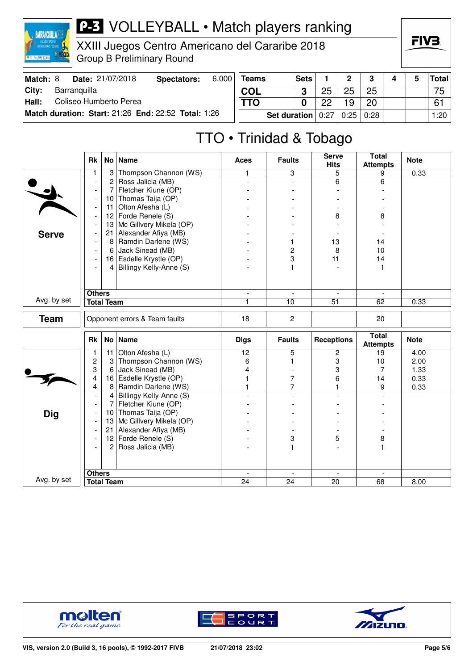

XXIII Juegos Centro Americano del Cararibe 2018 Group B Preliminary Round

| Match: 8      |              | <b>Date: 21/07/2018</b> | Spectators:                                         | 6.000 | <b>Teams</b> |                       | <b>Sets</b> |    | ົ                | $\bullet$ |  | Total      |
|---------------|--------------|-------------------------|-----------------------------------------------------|-------|--------------|-----------------------|-------------|----|------------------|-----------|--|------------|
| ∣City:        | Barranguilla |                         |                                                     |       | <b>COL</b>   |                       |             |    | 25               | 25        |  | 75         |
| $\vert$ Hall: |              | Coliseo Humberto Perea  |                                                     |       | <b>TTO</b>   |                       |             | ററ | 19               | 20        |  | 61         |
|               |              |                         | Match duration: Start: 21:26 End: 22:52 Total: 1:26 |       |              | Set duration $ 0:27 $ |             |    | $0:25 \mid 0:28$ |           |  | $1:20$ $ $ |

# TTO • Trinidad & Tobago

|              | <b>Rk</b>                |                   | No   Name                     | <b>Aces</b>                    | <b>Faults</b>                     | <b>Serve</b><br><b>Hits</b>                 | <b>Total</b><br><b>Attempts</b> | <b>Note</b> |
|--------------|--------------------------|-------------------|-------------------------------|--------------------------------|-----------------------------------|---------------------------------------------|---------------------------------|-------------|
|              | 1                        | 3                 | Thompson Channon (WS)         | 1                              | 3                                 | 5                                           | 9                               | 0.33        |
|              | $\overline{\phantom{a}}$ | $\overline{2}$    | Ross Jalicia (MB)             | $\blacksquare$                 | $\equiv$                          | 6                                           | 6                               |             |
|              | $\overline{\phantom{a}}$ | 7                 | Fletcher Kiune (OP)           |                                |                                   |                                             |                                 |             |
|              | $\overline{\phantom{a}}$ | 10                | Thomas Taija (OP)             |                                |                                   |                                             |                                 |             |
|              | $\overline{\phantom{a}}$ | 11                | Olton Afesha (L)              |                                |                                   |                                             |                                 |             |
|              | $\overline{\phantom{a}}$ | 12                | Forde Renele (S)              |                                |                                   | 8                                           | 8                               |             |
|              |                          | 13                | Mc Gillvery Mikela (OP)       |                                |                                   |                                             |                                 |             |
| <b>Serve</b> |                          | 21                | Alexander Afiya (MB)          |                                |                                   |                                             |                                 |             |
|              |                          | 8 <sup>1</sup>    | Ramdin Darlene (WS)           |                                | 1                                 | 13                                          | 14                              |             |
|              | $\overline{\phantom{a}}$ | 6                 | Jack Sinead (MB)              |                                | 2                                 | 8                                           | 10                              |             |
|              |                          |                   | 16 Esdelle Krystle (OP)       |                                | 3                                 | 11                                          | 14                              |             |
|              | $\overline{\phantom{a}}$ | 4                 | Billingy Kelly-Anne (S)       |                                | 1                                 |                                             | 1                               |             |
|              |                          |                   |                               |                                |                                   |                                             |                                 |             |
|              |                          |                   |                               |                                |                                   |                                             |                                 |             |
| Avg. by set  | <b>Others</b>            |                   |                               | $\overline{\phantom{a}}$       | $\overline{\phantom{a}}$          | $\overline{a}$                              |                                 |             |
|              |                          | <b>Total Team</b> |                               | 1                              | 10                                | $\overline{51}$                             | 62                              | 0.33        |
| <b>Team</b>  |                          |                   | Opponent errors & Team faults | 18                             | $\overline{2}$                    |                                             | 20                              |             |
|              |                          |                   |                               |                                |                                   |                                             |                                 |             |
|              |                          |                   |                               |                                |                                   |                                             |                                 |             |
|              | <b>Rk</b>                |                   | No   Name                     | <b>Digs</b>                    | <b>Faults</b>                     | <b>Receptions</b>                           | <b>Total</b><br><b>Attempts</b> | <b>Note</b> |
|              | 1                        | 11                | Olton Afesha (L)              | $\overline{12}$                | 5                                 | 2                                           | 19                              | 4.00        |
|              | $\overline{c}$           | 3                 | Thompson Channon (WS)         | 6                              | 1                                 | 3                                           | 10                              | 2.00        |
|              | 3                        | 6                 | Jack Sinead (MB)              | 4                              |                                   | 3                                           | 7                               | 1.33        |
|              | 4                        | 16                | Esdelle Krystle (OP)          | 1                              | 7                                 | 6                                           | 14                              | 0.33        |
|              | 4                        | 8                 | Ramdin Darlene (WS)           | $\mathbf{1}$                   | $\overline{7}$                    | $\blacksquare$                              | 9                               | 0.33        |
|              | $\blacksquare$           |                   | 4 Billingy Kelly-Anne (S)     |                                | $\overline{a}$                    | $\overline{a}$                              |                                 |             |
|              | $\overline{\phantom{a}}$ | $\overline{7}$    | Fletcher Kiune (OP)           |                                |                                   |                                             |                                 |             |
| <b>Dig</b>   | $\overline{\phantom{a}}$ | 10 <sub>1</sub>   | Thomas Taija (OP)             |                                |                                   |                                             |                                 |             |
|              | $\overline{a}$           | 13                | Mc Gillvery Mikela (OP)       |                                |                                   |                                             |                                 |             |
|              | $\overline{\phantom{a}}$ | 21                | Alexander Afiya (MB)          |                                |                                   |                                             |                                 |             |
|              | $\overline{\phantom{a}}$ |                   | 12 Forde Renele $(S)$         |                                | 3                                 | 5                                           | 8                               |             |
|              |                          | $\overline{2}$    | Ross Jalicia (MB)             |                                | 1                                 |                                             | 1                               |             |
|              |                          |                   |                               |                                |                                   |                                             |                                 |             |
|              |                          |                   |                               |                                |                                   |                                             |                                 |             |
| Avg. by set  | <b>Others</b>            | <b>Total Team</b> |                               | $\overline{\phantom{a}}$<br>24 | $\blacksquare$<br>$\overline{24}$ | $\overline{\phantom{a}}$<br>$\overline{20}$ | $\overline{\phantom{a}}$<br>68  | 8.00        |